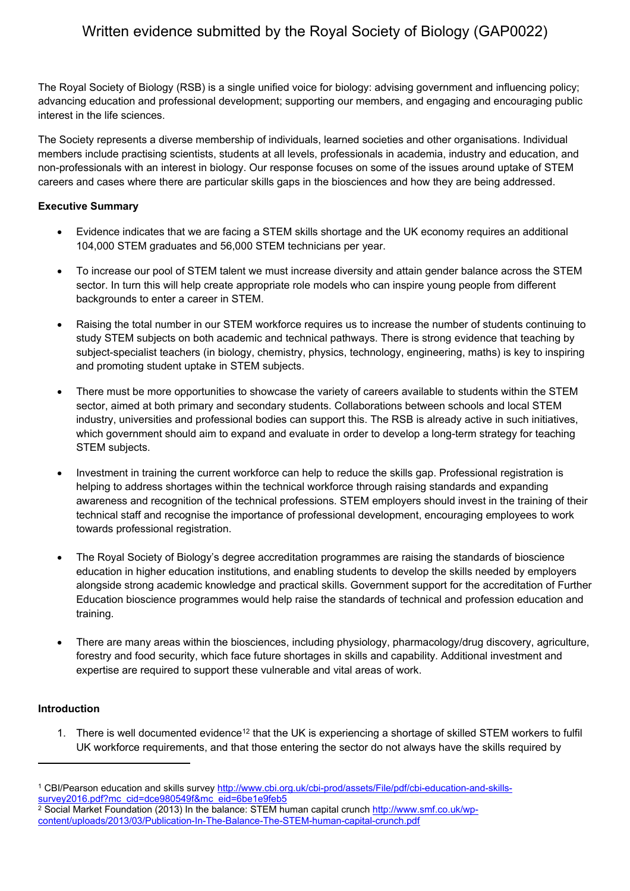The Royal Society of Biology (RSB) is a single unified voice for biology: advising government and influencing policy; advancing education and professional development; supporting our members, and engaging and encouraging public interest in the life sciences.

The Society represents a diverse membership of individuals, learned societies and other organisations. Individual members include practising scientists, students at all levels, professionals in academia, industry and education, and non-professionals with an interest in biology. Our response focuses on some of the issues around uptake of STEM careers and cases where there are particular skills gaps in the biosciences and how they are being addressed.

### **Executive Summary**

- Evidence indicates that we are facing a STEM skills shortage and the UK economy requires an additional 104,000 STEM graduates and 56,000 STEM technicians per year.
- To increase our pool of STEM talent we must increase diversity and attain gender balance across the STEM sector. In turn this will help create appropriate role models who can inspire young people from different backgrounds to enter a career in STEM.
- Raising the total number in our STEM workforce requires us to increase the number of students continuing to study STEM subjects on both academic and technical pathways. There is strong evidence that teaching by subject-specialist teachers (in biology, chemistry, physics, technology, engineering, maths) is key to inspiring and promoting student uptake in STEM subjects.
- There must be more opportunities to showcase the variety of careers available to students within the STEM sector, aimed at both primary and secondary students. Collaborations between schools and local STEM industry, universities and professional bodies can support this. The RSB is already active in such initiatives, which government should aim to expand and evaluate in order to develop a long-term strategy for teaching STEM subjects.
- Investment in training the current workforce can help to reduce the skills gap. Professional registration is helping to address shortages within the technical workforce through raising standards and expanding awareness and recognition of the technical professions. STEM employers should invest in the training of their technical staff and recognise the importance of professional development, encouraging employees to work towards professional registration.
- The Royal Society of Biology's degree accreditation programmes are raising the standards of bioscience education in higher education institutions, and enabling students to develop the skills needed by employers alongside strong academic knowledge and practical skills. Government support for the accreditation of Further Education bioscience programmes would help raise the standards of technical and profession education and training.
- There are many areas within the biosciences, including physiology, pharmacology/drug discovery, agriculture, forestry and food security, which face future shortages in skills and capability. Additional investment and expertise are required to support these vulnerable and vital areas of work.

### **Introduction**

1. There is well documented evidence<sup>12</sup> that the UK is experiencing a shortage of skilled STEM workers to fulfil UK workforce requirements, and that those entering the sector do not always have the skills required by

<sup>1</sup> CBI/Pearson education and skills survey [http://www.cbi.org.uk/cbi-prod/assets/File/pdf/cbi-education-and-skills](http://www.cbi.org.uk/cbi-prod/assets/File/pdf/cbi-education-and-skills-survey2016.pdf?mc_cid=dce980549f&mc_eid=6be1e9feb5)[survey2016.pdf?mc\\_cid=dce980549f&mc\\_eid=6be1e9feb5](http://www.cbi.org.uk/cbi-prod/assets/File/pdf/cbi-education-and-skills-survey2016.pdf?mc_cid=dce980549f&mc_eid=6be1e9feb5)

<sup>&</sup>lt;sup>2</sup> Social Market Foundation (2013) In the balance: STEM human capital crunch [http://www.smf.co.uk/wp](http://www.smf.co.uk/wp-content/uploads/2013/03/Publication-In-The-Balance-The-STEM-human-capital-crunch.pdf)[content/uploads/2013/03/Publication-In-The-Balance-The-STEM-human-capital-crunch.pdf](http://www.smf.co.uk/wp-content/uploads/2013/03/Publication-In-The-Balance-The-STEM-human-capital-crunch.pdf)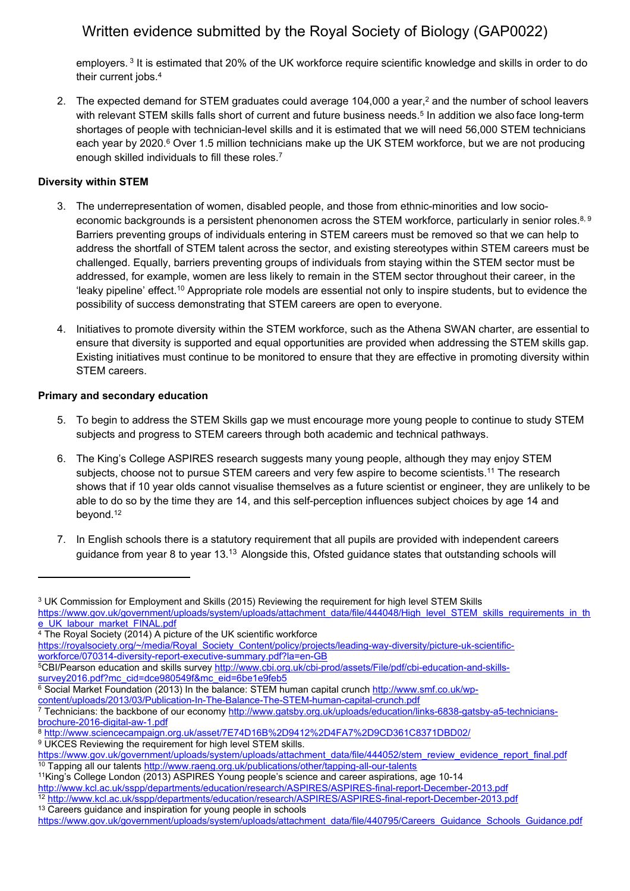employers.<sup>3</sup> It is estimated that 20% of the UK workforce require scientific knowledge and skills in order to do their current jobs.<sup>4</sup>

2. The expected demand for STEM graduates could average 104,000 a year,<sup>2</sup> and the number of school leavers with relevant STEM skills falls short of current and future business needs.<sup>5</sup> In addition we also face long-term shortages of people with technician-level skills and it is estimated that we will need 56,000 STEM technicians each year by 2020.<sup>6</sup> Over 1.5 million technicians make up the UK STEM workforce, but we are not producing enough skilled individuals to fill these roles.<sup>7</sup>

### **Diversity within STEM**

- 3. The underrepresentation of women, disabled people, and those from ethnic-minorities and low socioeconomic backgrounds is a persistent phenonomen across the STEM workforce, particularly in senior roles. $^{8, 9}$ Barriers preventing groups of individuals entering in STEM careers must be removed so that we can help to address the shortfall of STEM talent across the sector, and existing stereotypes within STEM careers must be challenged. Equally, barriers preventing groups of individuals from staying within the STEM sector must be addressed, for example, women are less likely to remain in the STEM sector throughout their career, in the 'leaky pipeline' effect.<sup>10</sup> Appropriate role models are essential not only to inspire students, but to evidence the possibility of success demonstrating that STEM careers are open to everyone.
- 4. Initiatives to promote diversity within the STEM workforce, such as the Athena SWAN charter, are essential to ensure that diversity is supported and equal opportunities are provided when addressing the STEM skills gap. Existing initiatives must continue to be monitored to ensure that they are effective in promoting diversity within STEM careers.

### **Primary and secondary education**

- 5. To begin to address the STEM Skills gap we must encourage more young people to continue to study STEM subjects and progress to STEM careers through both academic and technical pathways.
- 6. The King's College ASPIRES research suggests many young people, although they may enjoy STEM subjects, choose not to pursue STEM careers and very few aspire to become scientists.<sup>11</sup> The research shows that if 10 year olds cannot visualise themselves as a future scientist or engineer, they are unlikely to be able to do so by the time they are 14, and this self-perception influences subject choices by age 14 and beyond.<sup>12</sup>
- 7. In English schools there is a statutory requirement that all pupils are provided with independent careers guidance from year 8 to year 13.<sup>13</sup> Alongside this, Ofsted guidance states that outstanding schools will

<http://www.kcl.ac.uk/sspp/departments/education/research/ASPIRES/ASPIRES-final-report-December-2013.pdf> <sup>12</sup> <http://www.kcl.ac.uk/sspp/departments/education/research/ASPIRES/ASPIRES-final-report-December-2013.pdf> <sup>13</sup> Careers guidance and inspiration for young people in schools

<sup>3</sup> UK Commission for Employment and Skills (2015) Reviewing the requirement for high level STEM Skills [https://www.gov.uk/government/uploads/system/uploads/attachment\\_data/file/444048/High\\_level\\_STEM\\_skills\\_requirements\\_in\\_th](https://www.gov.uk/government/uploads/system/uploads/attachment_data/file/444048/High_level_STEM_skills_requirements_in_the_UK_labour_market_FINAL.pdf) [e\\_UK\\_labour\\_market\\_FINAL.pdf](https://www.gov.uk/government/uploads/system/uploads/attachment_data/file/444048/High_level_STEM_skills_requirements_in_the_UK_labour_market_FINAL.pdf)

<sup>&</sup>lt;sup>4</sup> The Royal Society (2014) A picture of the UK scientific workforce

[https://royalsociety.org/~/media/Royal\\_Society\\_Content/policy/projects/leading-way-diversity/picture-uk-scientific](https://royalsociety.org/~/media/Royal_Society_Content/policy/projects/leading-way-diversity/picture-uk-scientific-workforce/070314-diversity-report-executive-summary.pdf?la=en-GB)[workforce/070314-diversity-report-executive-summary.pdf?la=en-GB](https://royalsociety.org/~/media/Royal_Society_Content/policy/projects/leading-way-diversity/picture-uk-scientific-workforce/070314-diversity-report-executive-summary.pdf?la=en-GB)

<sup>5</sup>CBI/Pearson education and skills survey [http://www.cbi.org.uk/cbi-prod/assets/File/pdf/cbi-education-and-skills](http://www.cbi.org.uk/cbi-prod/assets/File/pdf/cbi-education-and-skills-survey2016.pdf?mc_cid=dce980549f&mc_eid=6be1e9feb5)[survey2016.pdf?mc\\_cid=dce980549f&mc\\_eid=6be1e9feb5](http://www.cbi.org.uk/cbi-prod/assets/File/pdf/cbi-education-and-skills-survey2016.pdf?mc_cid=dce980549f&mc_eid=6be1e9feb5)

<sup>6</sup> Social Market Foundation (2013) In the balance: STEM human capital crunch [http://www.smf.co.uk/wp-](http://www.smf.co.uk/wp-content/uploads/2013/03/Publication-In-The-Balance-The-STEM-human-capital-crunch.pdf)

[content/uploads/2013/03/Publication-In-The-Balance-The-STEM-human-capital-crunch.pdf](http://www.smf.co.uk/wp-content/uploads/2013/03/Publication-In-The-Balance-The-STEM-human-capital-crunch.pdf)

<sup>&</sup>lt;sup>7</sup> Technicians: the backbone of our economy [http://www.gatsby.org.uk/uploads/education/links-6838-gatsby-a5-technicians](http://www.gatsby.org.uk/uploads/education/links-6838-gatsby-a5-technicians-brochure-2016-digital-aw-1.pdf)[brochure-2016-digital-aw-1.pdf](http://www.gatsby.org.uk/uploads/education/links-6838-gatsby-a5-technicians-brochure-2016-digital-aw-1.pdf)

<sup>8</sup> <http://www.sciencecampaign.org.uk/asset/7E74D16B%2D9412%2D4FA7%2D9CD361C8371DBD02/> <sup>9</sup> UKCES Reviewing the requirement for high level STEM skills.

[https://www.gov.uk/government/uploads/system/uploads/attachment\\_data/file/444052/stem\\_review\\_evidence\\_report\\_final.pdf](https://www.gov.uk/government/uploads/system/uploads/attachment_data/file/444052/stem_review_evidence_report_final.pdf) <sup>10</sup> Tapping all our talents <http://www.raeng.org.uk/publications/other/tapping-all-our-talents>

<sup>11</sup>King's College London (2013) ASPIRES Young people's science and career aspirations, age 10-14

[https://www.gov.uk/government/uploads/system/uploads/attachment\\_data/file/440795/Careers\\_Guidance\\_Schools\\_Guidance.pdf](https://www.gov.uk/government/uploads/system/uploads/attachment_data/file/440795/Careers_Guidance_Schools_Guidance.pdf)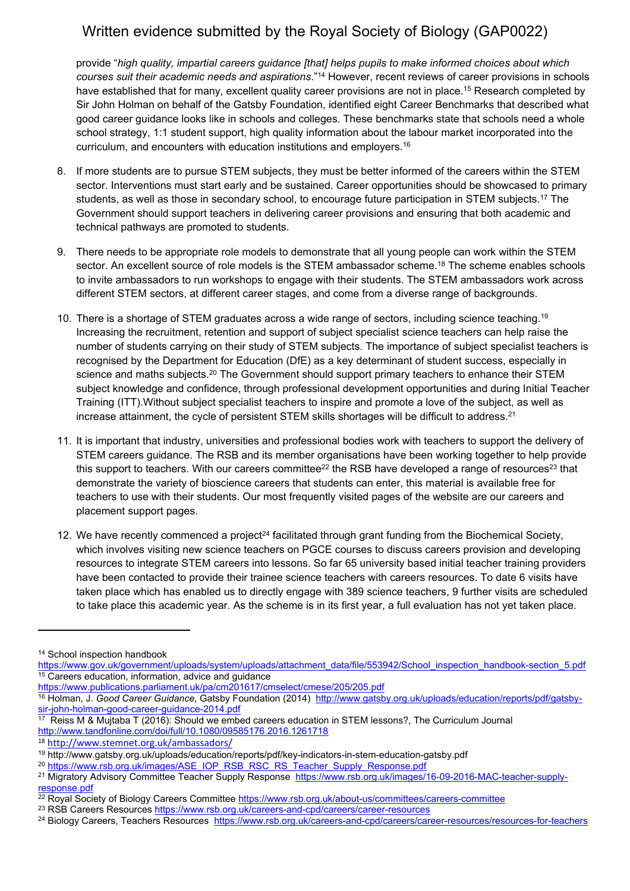provide "*high quality, impartial careers guidance [that] helps pupils to make informed choices about which courses suit their academic needs and aspirations*."<sup>14</sup> However, recent reviews of career provisions in schools have established that for many, excellent quality career provisions are not in place.<sup>15</sup> Research completed by Sir John Holman on behalf of the Gatsby Foundation, identified eight Career Benchmarks that described what good career guidance looks like in schools and colleges. These benchmarks state that schools need a whole school strategy, 1:1 student support, high quality information about the labour market incorporated into the curriculum, and encounters with education institutions and employers.<sup>16</sup>

- 8. If more students are to pursue STEM subjects, they must be better informed of the careers within the STEM sector. Interventions must start early and be sustained. Career opportunities should be showcased to primary students, as well as those in secondary school, to encourage future participation in STEM subjects.<sup>17</sup> The Government should support teachers in delivering career provisions and ensuring that both academic and technical pathways are promoted to students.
- 9. There needs to be appropriate role models to demonstrate that all young people can work within the STEM sector. An excellent source of role models is the STEM ambassador scheme.<sup>18</sup> The scheme enables schools to invite ambassadors to run workshops to engage with their students. The STEM ambassadors work across different STEM sectors, at different career stages, and come from a diverse range of backgrounds.
- 10. There is a shortage of STEM graduates across a wide range of sectors, including science teaching.<sup>19</sup> Increasing the recruitment, retention and support of subject specialist science teachers can help raise the number of students carrying on their study of STEM subjects. The importance of subject specialist teachers is recognised by the Department for Education (DfE) as a key determinant of student success, especially in science and maths subjects.<sup>20</sup> The Government should support primary teachers to enhance their STEM subject knowledge and confidence, through professional development opportunities and during Initial Teacher Training (ITT).Without subject specialist teachers to inspire and promote a love of the subject, as well as increase attainment, the cycle of persistent STEM skills shortages will be difficult to address.<sup>21</sup>
- 11. It is important that industry, universities and professional bodies work with teachers to support the delivery of STEM careers guidance. The RSB and its member organisations have been working together to help provide this support to teachers. With our careers committee<sup>22</sup> the RSB have developed a range of resources<sup>23</sup> that demonstrate the variety of bioscience careers that students can enter, this material is available free for teachers to use with their students. Our most frequently visited pages of the website are our careers and placement support pages.
- 12. We have recently commenced a project<sup>24</sup> facilitated through grant funding from the Biochemical Society, which involves visiting new science teachers on PGCE courses to discuss careers provision and developing resources to integrate STEM careers into lessons. So far 65 university based initial teacher training providers have been contacted to provide their trainee science teachers with careers resources. To date 6 visits have taken place which has enabled us to directly engage with 389 science teachers, 9 further visits are scheduled to take place this academic year. As the scheme is in its first year, a full evaluation has not yet taken place.

<sup>14</sup> School inspection handbook

[https://www.gov.uk/government/uploads/system/uploads/attachment\\_data/file/553942/School\\_inspection\\_handbook-section\\_5.pdf](https://www.gov.uk/government/uploads/system/uploads/attachment_data/file/553942/School_inspection_handbook-section_5.pdf) <sup>15</sup> Careers education, information, advice and guidance

<https://www.publications.parliament.uk/pa/cm201617/cmselect/cmese/205/205.pdf>

<sup>16</sup> Holman, J. *Good Career Guidance,* Gatsby Foundation (2014) [http://www.gatsby.org.uk/uploads/education/reports/pdf/gatsby-](http://www.gatsby.org.uk/uploads/education/reports/pdf/gatsby-sir-john-holman-good-career-guidance-2014.pdf)

<sup>&</sup>lt;mark>[sir-john-holman-good-career-guidance-2014.pdf](http://www.gatsby.org.uk/uploads/education/reports/pdf/gatsby-sir-john-holman-good-career-guidance-2014.pdf)</mark><br><sup>17</sup> Reiss M & Mujtaba T (2016): Should we embed careers education in STEM lessons?, The Curriculum Journal <http://www.tandfonline.com/doi/full/10.1080/09585176.2016.1261718>

<sup>18</sup> <http://www.stemnet.org.uk/ambassadors/>

<sup>19</sup> http://www.gatsby.org.uk/uploads/education/reports/pdf/key-indicators-in-stem-education-gatsby.pdf

<sup>&</sup>lt;sup>20</sup> [https://www.rsb.org.uk/images/ASE\\_IOP\\_RSB\\_RSC\\_RS\\_Teacher\\_Supply\\_Response.pdf](https://www.rsb.org.uk/images/ASE_IOP_RSB_RSC_RS_Teacher_Supply_Response.pdf)

<sup>21</sup> Migratory Advisory Committee Teacher Supply Response [https://www.rsb.org.uk/images/16-09-2016-MAC-teacher-supply](https://www.rsb.org.uk/images/16-09-2016-MAC-teacher-supply-response.pdf)[response.pdf](https://www.rsb.org.uk/images/16-09-2016-MAC-teacher-supply-response.pdf)

<sup>&</sup>lt;sup>22</sup> Royal Society of Biology Careers Committee <https://www.rsb.org.uk/about-us/committees/careers-committee>

<sup>&</sup>lt;sup>23</sup> RSB Careers Resources <https://www.rsb.org.uk/careers-and-cpd/careers/career-resources>

<sup>&</sup>lt;sup>24</sup> Biology Careers, Teachers Resources <https://www.rsb.org.uk/careers-and-cpd/careers/career-resources/resources-for-teachers>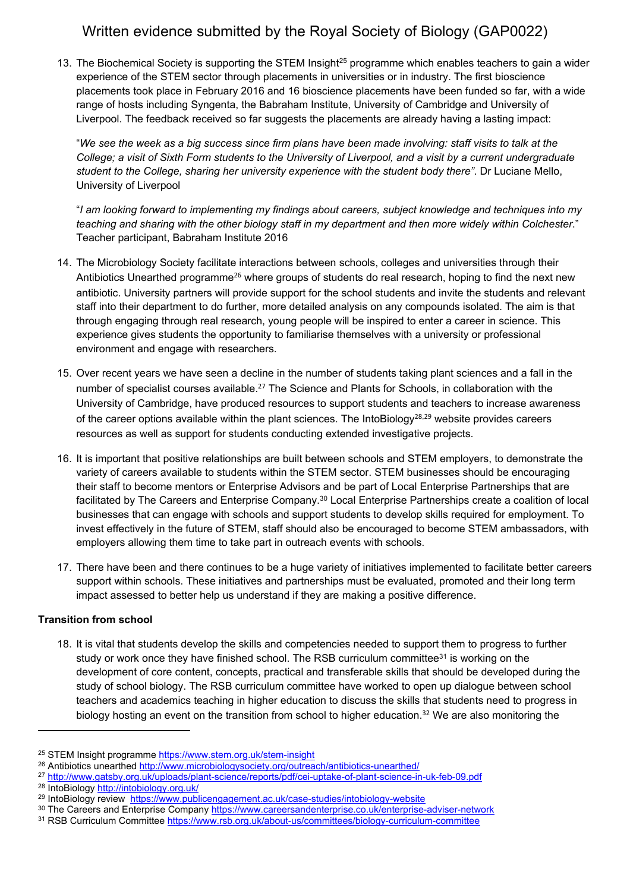13. The Biochemical Society is supporting the STEM Insight<sup>25</sup> programme which enables teachers to gain a wider experience of the STEM sector through placements in universities or in industry. The first bioscience placements took place in February 2016 and 16 bioscience placements have been funded so far, with a wide range of hosts including Syngenta, the Babraham Institute, University of Cambridge and University of Liverpool. The feedback received so far suggests the placements are already having a lasting impact:

"We see the week as a big success since firm plans have been made involving: staff visits to talk at the College; a visit of Sixth Form students to the University of Liverpool, and a visit by a current undergraduate *student to the College, sharing her university experience with the student body there"*. Dr Luciane Mello, University of Liverpool

"*I am looking forward to implementing my findings about careers, subject knowledge and techniques into my* teaching and sharing with the other biology staff in my department and then more widely within Colchester." Teacher participant, Babraham Institute 2016

- 14. The Microbiology Society facilitate interactions between schools, colleges and universities through their Antibiotics Unearthed programme<sup>26</sup> where groups of students do real research, hoping to find the next new antibiotic. University partners will provide support for the school students and invite the students and relevant staff into their department to do further, more detailed analysis on any compounds isolated. The aim is that through engaging through real research, young people will be inspired to enter a career in science. This experience gives students the opportunity to familiarise themselves with a university or professional environment and engage with researchers.
- 15. Over recent years we have seen a decline in the number of students taking plant sciences and a fall in the number of specialist courses available.<sup>27</sup> The Science and Plants for Schools, in collaboration with the University of Cambridge, have produced resources to support students and teachers to increase awareness of the career options available within the plant sciences. The IntoBiology<sup>28,29</sup> website provides careers resources as well as support for students conducting extended investigative projects.
- 16. It is important that positive relationships are built between schools and STEM employers, to demonstrate the variety of careers available to students within the STEM sector. STEM businesses should be encouraging their staff to become mentors or Enterprise Advisors and be part of Local Enterprise Partnerships that are facilitated by The Careers and Enterprise Company.<sup>30</sup> Local Enterprise Partnerships create a coalition of local businesses that can engage with schools and support students to develop skills required for employment. To invest effectively in the future of STEM, staff should also be encouraged to become STEM ambassadors, with employers allowing them time to take part in outreach events with schools.
- 17. There have been and there continues to be a huge variety of initiatives implemented to facilitate better careers support within schools. These initiatives and partnerships must be evaluated, promoted and their long term impact assessed to better help us understand if they are making a positive difference.

### **Transition from school**

18. It is vital that students develop the skills and competencies needed to support them to progress to further study or work once they have finished school. The RSB curriculum committee<sup>31</sup> is working on the development of core content, concepts, practical and transferable skills that should be developed during the study of school biology. The RSB curriculum committee have worked to open up dialogue between school teachers and academics teaching in higher education to discuss the skills that students need to progress in biology hosting an event on the transition from school to higher education.<sup>32</sup> We are also monitoring the

<sup>25</sup> STEM Insight programme <https://www.stem.org.uk/stem-insight>

<sup>26</sup> Antibiotics unearthed <http://www.microbiologysociety.org/outreach/antibiotics-unearthed/>

<sup>27</sup> <http://www.gatsby.org.uk/uploads/plant-science/reports/pdf/cei-uptake-of-plant-science-in-uk-feb-09.pdf>

<sup>28</sup> IntoBiology <http://intobiology.org.uk/>

<sup>29</sup> IntoBiology review <https://www.publicengagement.ac.uk/case-studies/intobiology-website>

<sup>30</sup> The Careers and Enterprise Company <https://www.careersandenterprise.co.uk/enterprise-adviser-network>

<sup>31</sup> RSB Curriculum Committee <https://www.rsb.org.uk/about-us/committees/biology-curriculum-committee>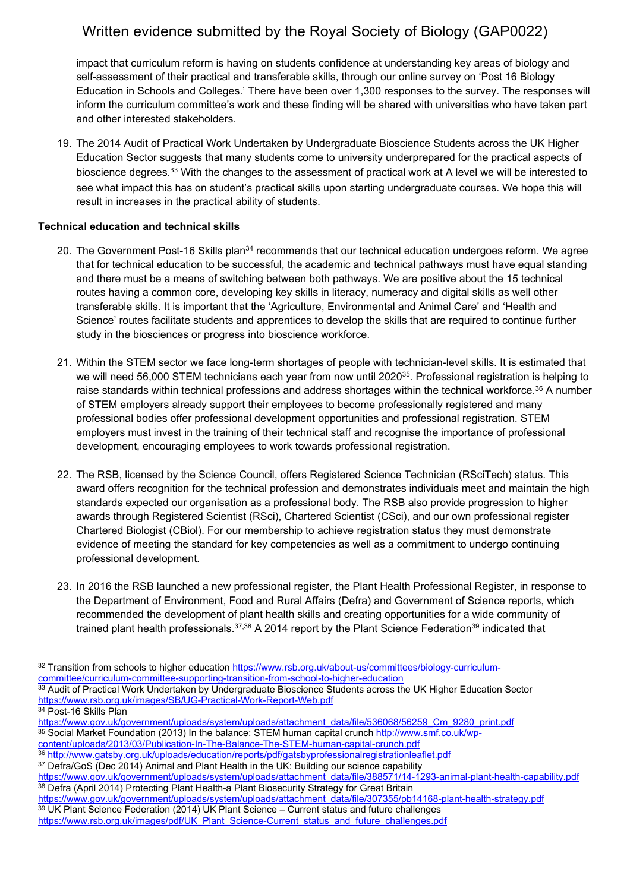impact that curriculum reform is having on students confidence at understanding key areas of biology and self-assessment of their practical and transferable skills, through our online survey on 'Post 16 Biology Education in Schools and Colleges.' There have been over 1,300 responses to the survey. The responses will inform the curriculum committee's work and these finding will be shared with universities who have taken part and other interested stakeholders.

19. The 2014 Audit of Practical Work Undertaken by Undergraduate Bioscience Students across the UK Higher Education Sector suggests that many students come to university underprepared for the practical aspects of bioscience degrees.<sup>33</sup> With the changes to the assessment of practical work at A level we will be interested to see what impact this has on student's practical skills upon starting undergraduate courses. We hope this will result in increases in the practical ability of students.

### **Technical education and technical skills**

- 20. The Government Post-16 Skills plan<sup>34</sup> recommends that our technical education undergoes reform. We agree that for technical education to be successful, the academic and technical pathways must have equal standing and there must be a means of switching between both pathways. We are positive about the 15 technical routes having a common core, developing key skills in literacy, numeracy and digital skills as well other transferable skills. It is important that the 'Agriculture, Environmental and Animal Care' and 'Health and Science' routes facilitate students and apprentices to develop the skills that are required to continue further study in the biosciences or progress into bioscience workforce.
- 21. Within the STEM sector we face long-term shortages of people with technician-level skills. It is estimated that we will need 56,000 STEM technicians each year from now until 2020<sup>35</sup>. Professional registration is helping to raise standards within technical professions and address shortages within the technical workforce.<sup>36</sup> A number of STEM employers already support their employees to become professionally registered and many professional bodies offer professional development opportunities and professional registration. STEM employers must invest in the training of their technical staff and recognise the importance of professional development, encouraging employees to work towards professional registration.
- 22. The RSB, licensed by the Science Council, offers Registered Science Technician (RSciTech) status. This award offers recognition for the technical profession and demonstrates individuals meet and maintain the high standards expected our organisation as a professional body. The RSB also provide progression to higher awards through Registered Scientist (RSci), Chartered Scientist (CSci), and our own professional register Chartered Biologist (CBiol). For our membership to achieve registration status they must demonstrate evidence of meeting the standard for key competencies as well as a commitment to undergo continuing professional development.
- 23. In 2016 the RSB launched a new professional register, the Plant Health Professional Register, in response to the Department of Environment, Food and Rural Affairs (Defra) and Government of Science reports, which recommended the development of plant health skills and creating opportunities for a wide community of trained plant health professionals.<sup>37,38</sup> A 2014 report by the Plant Science Federation<sup>39</sup> indicated that

<sup>&</sup>lt;sup>32</sup> Transition from schools to higher education [https://www.rsb.org.uk/about-us/committees/biology-curriculum](https://www.rsb.org.uk/about-us/committees/biology-curriculum-committee/curriculum-committee-supporting-transition-from-school-to-higher-education)[committee/curriculum-committee-supporting-transition-from-school-to-higher-education](https://www.rsb.org.uk/about-us/committees/biology-curriculum-committee/curriculum-committee-supporting-transition-from-school-to-higher-education)

<sup>&</sup>lt;sup>33</sup> Audit of Practical Work Undertaken by Undergraduate Bioscience Students across the UK Higher Education Sector <https://www.rsb.org.uk/images/SB/UG-Practical-Work-Report-Web.pdf>

<sup>&</sup>lt;sup>34</sup> Post-16 Skills Plan

[https://www.gov.uk/government/uploads/system/uploads/attachment\\_data/file/536068/56259\\_Cm\\_9280\\_print.pdf](https://www.gov.uk/government/uploads/system/uploads/attachment_data/file/536068/56259_Cm_9280_print.pdf)

<sup>35</sup> Social Market Foundation (2013) In the balance: STEM human capital crunch [http://www.smf.co.uk/wp-](http://www.smf.co.uk/wp-content/uploads/2013/03/Publication-In-The-Balance-The-STEM-human-capital-crunch.pdf)

[content/uploads/2013/03/Publication-In-The-Balance-The-STEM-human-capital-crunch.pdf](http://www.smf.co.uk/wp-content/uploads/2013/03/Publication-In-The-Balance-The-STEM-human-capital-crunch.pdf)

<sup>36</sup> <http://www.gatsby.org.uk/uploads/education/reports/pdf/gatsbyprofessionalregistrationleaflet.pdf>

<sup>&</sup>lt;sup>37</sup> Defra/GoS (Dec 2014) Animal and Plant Health in the UK: Building our science capability [https://www.gov.uk/government/uploads/system/uploads/attachment\\_data/file/388571/14-1293-animal-plant-health-capability.pdf](https://www.gov.uk/government/uploads/system/uploads/attachment_data/file/388571/14-1293-animal-plant-health-capability.pdf) <sup>38</sup> Defra (April 2014) Protecting Plant Health-a Plant Biosecurity Strategy for Great Britain

[https://www.gov.uk/government/uploads/system/uploads/attachment\\_data/file/307355/pb14168-plant-health-strategy.pdf](https://www.gov.uk/government/uploads/system/uploads/attachment_data/file/307355/pb14168-plant-health-strategy.pdf)

 $39$  UK Plant Science Federation (2014) UK Plant Science – Current status and future challenges [https://www.rsb.org.uk/images/pdf/UK\\_Plant\\_Science-Current\\_status\\_and\\_future\\_challenges.pdf](https://www.rsb.org.uk/images/pdf/UK_Plant_Science-Current_status_and_future_challenges.pdf)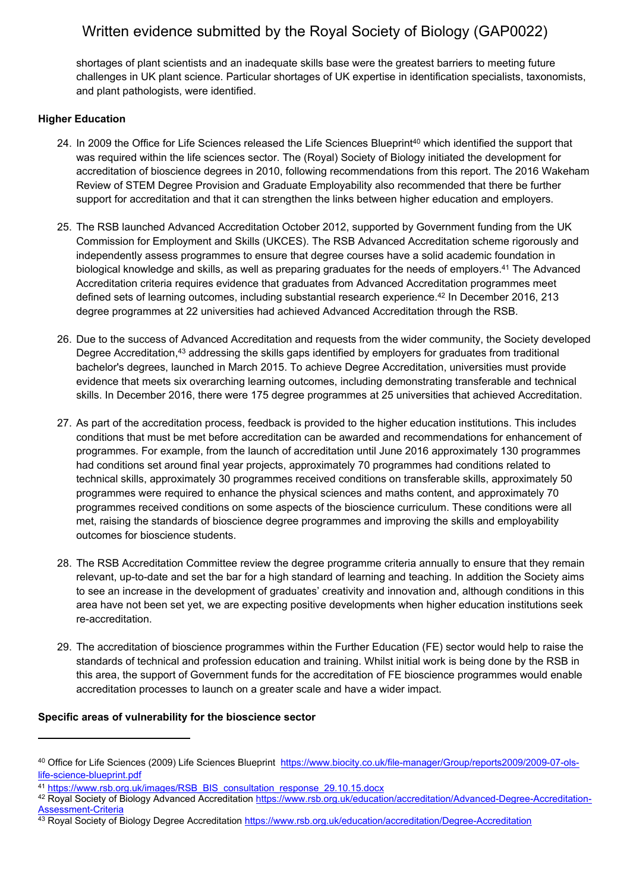shortages of plant scientists and an inadequate skills base were the greatest barriers to meeting future challenges in UK plant science. Particular shortages of UK expertise in identification specialists, taxonomists, and plant pathologists, were identified.

### **Higher Education**

- 24. In 2009 the Office for Life Sciences released the Life Sciences Blueprint<sup>40</sup> which identified the support that was required within the life sciences sector. The (Royal) Society of Biology initiated the development for accreditation of bioscience degrees in 2010, following recommendations from this report. The 2016 Wakeham Review of STEM Degree Provision and Graduate Employability also recommended that there be further support for accreditation and that it can strengthen the links between higher education and employers.
- 25. The RSB launched Advanced Accreditation October 2012, supported by Government funding from the UK Commission for Employment and Skills (UKCES). The RSB Advanced Accreditation scheme rigorously and independently assess programmes to ensure that degree courses have a solid academic foundation in biological knowledge and skills, as well as preparing graduates for the needs of employers.<sup>41</sup> The Advanced Accreditation criteria requires evidence that graduates from Advanced Accreditation programmes meet defined sets of learning outcomes, including substantial research experience.<sup>42</sup> In December 2016, 213 degree programmes at 22 universities had achieved Advanced Accreditation through the RSB.
- 26. Due to the success of Advanced Accreditation and requests from the wider community, the Society developed Degree Accreditation,<sup>43</sup> addressing the skills gaps identified by employers for graduates from traditional bachelor's degrees, launched in March 2015. To achieve Degree Accreditation, universities must provide evidence that meets six overarching learning outcomes, including demonstrating transferable and technical skills. In December 2016, there were 175 degree programmes at 25 universities that achieved Accreditation.
- 27. As part of the accreditation process, feedback is provided to the higher education institutions. This includes conditions that must be met before accreditation can be awarded and recommendations for enhancement of programmes. For example, from the launch of accreditation until June 2016 approximately 130 programmes had conditions set around final year projects, approximately 70 programmes had conditions related to technical skills, approximately 30 programmes received conditions on transferable skills, approximately 50 programmes were required to enhance the physical sciences and maths content, and approximately 70 programmes received conditions on some aspects of the bioscience curriculum. These conditions were all met, raising the standards of bioscience degree programmes and improving the skills and employability outcomes for bioscience students.
- 28. The RSB Accreditation Committee review the degree programme criteria annually to ensure that they remain relevant, up-to-date and set the bar for a high standard of learning and teaching. In addition the Society aims to see an increase in the development of graduates' creativity and innovation and, although conditions in this area have not been set yet, we are expecting positive developments when higher education institutions seek re-accreditation.
- 29. The accreditation of bioscience programmes within the Further Education (FE) sector would help to raise the standards of technical and profession education and training. Whilst initial work is being done by the RSB in this area, the support of Government funds for the accreditation of FE bioscience programmes would enable accreditation processes to launch on a greater scale and have a wider impact.

#### **Specific areas of vulnerability for the bioscience sector**

<sup>40</sup> Office for Life Sciences (2009) Life Sciences Blueprint [https://www.biocity.co.uk/file-manager/Group/reports2009/2009-07-ols](https://www.biocity.co.uk/file-manager/Group/reports2009/2009-07-ols-life-science-blueprint.pdf)[life-science-blueprint.pdf](https://www.biocity.co.uk/file-manager/Group/reports2009/2009-07-ols-life-science-blueprint.pdf)

<sup>&</sup>lt;sup>41</sup> [https://www.rsb.org.uk/images/RSB\\_BIS\\_consultation\\_response\\_29.10.15.docx](https://www.rsb.org.uk/images/RSB_BIS_consultation_response_29.10.15.docx)

<sup>42</sup> Royal Society of Biology Advanced Accreditation [https://www.rsb.org.uk/education/accreditation/Advanced-Degree-Accreditation-](https://www.rsb.org.uk/education/accreditation/Advanced-Degree-Accreditation-Assessment-Criteria)[Assessment-Criteria](https://www.rsb.org.uk/education/accreditation/Advanced-Degree-Accreditation-Assessment-Criteria)

<sup>43</sup> Royal Society of Biology Degree Accreditation <https://www.rsb.org.uk/education/accreditation/Degree-Accreditation>